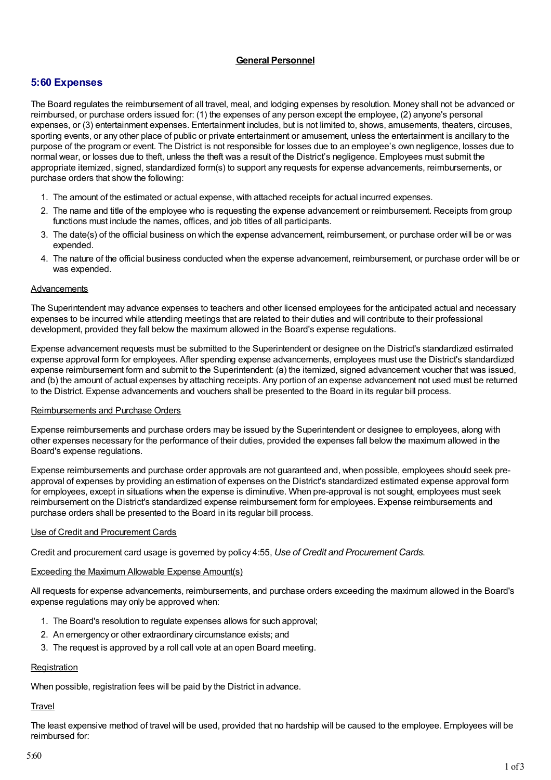# **General Personnel**

# **5:60 Expenses**

The Board regulates the reimbursement of all travel, meal, and lodging expenses by resolution. Money shall not be advanced or reimbursed, or purchase orders issued for: (1) the expenses of any person except the employee, (2) anyone's personal expenses, or (3) entertainment expenses. Entertainment includes, but is not limited to, shows, amusements, theaters, circuses, sporting events, or any other place of public or private entertainment or amusement, unless the entertainment is ancillary to the purpose of the program or event. The District is not responsible for losses due to an employee's own negligence, losses due to normal wear, or losses due to theft, unless the theft was a result of the District's negligence. Employees must submit the appropriate itemized, signed, standardized form(s) to support any requests for expense advancements, reimbursements, or purchase orders that show the following:

- 1. The amount of the estimated or actual expense, with attached receipts for actual incurred expenses.
- 2. The name and title of the employee who is requesting the expense advancement or reimbursement. Receipts from group functions must include the names, offices, and job titles of all participants.
- 3. The date(s) of the official business on which the expense advancement, reimbursement, or purchase order will be or was expended.
- 4. The nature of the official business conducted when the expense advancement, reimbursement, or purchase order will be or was expended.

# Advancements

The Superintendent may advance expenses to teachers and other licensed employees for the anticipated actual and necessary expenses to be incurred while attending meetings that are related to their duties and will contribute to their professional development, provided they fall below the maximum allowed in the Board's expense regulations.

Expense advancement requests must be submitted to the Superintendent or designee on the District's standardized estimated expense approval form for employees. After spending expense advancements, employees must use the District's standardized expense reimbursement form and submit to the Superintendent: (a) the itemized, signed advancement voucher that was issued, and (b) the amount of actual expenses by attaching receipts. Any portion of an expense advancement not used must be returned to the District. Expense advancements and vouchers shall be presented to the Board in its regular bill process.

#### Reimbursements and Purchase Orders

Expense reimbursements and purchase orders may be issued by the Superintendent or designee to employees, along with other expenses necessary for the performance of their duties, provided the expenses fall below the maximum allowed in the Board's expense regulations.

Expense reimbursements and purchase order approvals are not guaranteed and, when possible, employees should seek preapproval of expenses by providing an estimation of expenses on the District's standardized estimated expense approval form for employees, except in situations when the expense is diminutive. When pre-approval is not sought, employees must seek reimbursement on the District's standardized expense reimbursement form for employees. Expense reimbursements and purchase orders shall be presented to the Board in its regular bill process.

#### Use of Credit and Procurement Cards

Credit and procurement card usage is governed by policy 4:55, *Use of Credit and Procurement Cards*.

# Exceeding the Maximum Allowable Expense Amount(s)

All requests for expense advancements, reimbursements, and purchase orders exceeding the maximum allowed in the Board's expense regulations may only be approved when:

- 1. The Board's resolution to regulate expenses allows for such approval;
- 2. An emergency or other extraordinary circumstance exists; and
- 3. The request is approved by a roll call vote at an open Board meeting.

#### **Registration**

When possible, registration fees will be paid by the District in advance.

#### **Travel**

The least expensive method of travel will be used, provided that no hardship will be caused to the employee. Employees will be reimbursed for: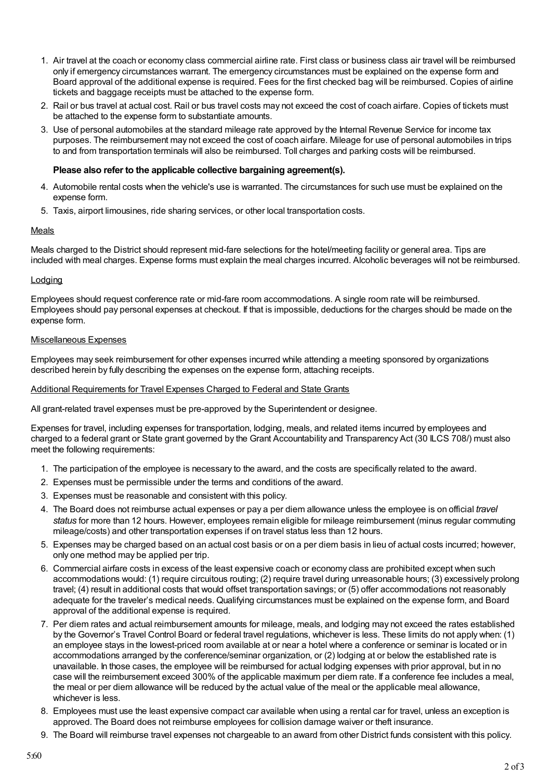- 1. Air travel at the coach or economy class commercial airline rate. First class or business class air travel will be reimbursed only if emergency circumstances warrant. The emergency circumstances must be explained on the expense form and Board approval of the additional expense is required. Fees for the first checked bag will be reimbursed. Copies of airline tickets and baggage receipts must be attached to the expense form.
- 2. Rail or bus travel at actual cost. Rail or bus travel costs may not exceed the cost of coach airfare. Copies of tickets must be attached to the expense form to substantiate amounts.
- 3. Use of personal automobiles at the standard mileage rate approved by the Internal Revenue Service for income tax purposes. The reimbursement may not exceed the cost of coach airfare. Mileage for use of personal automobiles in trips to and from transportation terminals will also be reimbursed. Toll charges and parking costs will be reimbursed.

### **Please also refer to the applicable collective bargaining agreement(s).**

- 4. Automobile rental costs when the vehicle's use is warranted. The circumstances for such use must be explained on the expense form.
- 5. Taxis, airport limousines, ride sharing services, or other local transportation costs.

# Meals

Meals charged to the District should represent mid-fare selections for the hotel/meeting facility or general area. Tips are included with meal charges. Expense forms must explain the meal charges incurred. Alcoholic beverages will not be reimbursed.

# **Lodging**

Employees should request conference rate or mid-fare room accommodations. A single room rate will be reimbursed. Employees should pay personal expenses at checkout. If that is impossible, deductions for the charges should be made on the expense form.

# Miscellaneous Expenses

Employees may seek reimbursement for other expenses incurred while attending a meeting sponsored by organizations described herein by fully describing the expenses on the expense form, attaching receipts.

# Additional Requirements for Travel Expenses Charged to Federal and State Grants

All grant-related travel expenses must be pre-approved by the Superintendent or designee.

Expenses for travel, including expenses for transportation, lodging, meals, and related items incurred by employees and charged to a federal grant or State grant governed by the Grant Accountability and Transparency Act (30 ILCS 708/) must also meet the following requirements:

- 1. The participation of the employee is necessary to the award, and the costs are specifically related to the award.
- 2. Expenses must be permissible under the terms and conditions of the award.
- 3. Expenses must be reasonable and consistent with this policy.
- 4. The Board does not reimburse actual expenses or pay a per diem allowance unless the employee is on official *travel status* for more than 12 hours. However, employees remain eligible for mileage reimbursement (minus regular commuting mileage/costs) and other transportation expenses if on travel status less than 12 hours.
- 5. Expenses may be charged based on an actual cost basis or on a per diem basis in lieu of actual costs incurred; however, only one method may be applied per trip.
- 6. Commercial airfare costs in excess of the least expensive coach or economy class are prohibited except when such accommodations would: (1) require circuitous routing; (2) require travel during unreasonable hours; (3) excessively prolong travel; (4) result in additional costs that would offset transportation savings; or (5) offer accommodations not reasonably adequate for the traveler's medical needs. Qualifying circumstances must be explained on the expense form, and Board approval of the additional expense is required.
- 7. Per diem rates and actual reimbursement amounts for mileage, meals, and lodging may not exceed the rates established by the Governor's Travel Control Board or federal travel regulations, whichever is less. These limits do not apply when: (1) an employee stays in the lowest-priced room available at or near a hotel where a conference or seminar is located or in accommodations arranged by the conference/seminar organization, or (2) lodging at or below the established rate is unavailable. In those cases, the employee will be reimbursed for actual lodging expenses with prior approval, but in no case will the reimbursement exceed 300% of the applicable maximum per diem rate. If a conference fee includes a meal, the meal or per diem allowance will be reduced by the actual value of the meal or the applicable meal allowance, whichever is less.
- 8. Employees must use the least expensive compact car available when using a rental car for travel, unless an exception is approved. The Board does not reimburse employees for collision damage waiver or theft insurance.
- 9. The Board will reimburse travel expenses not chargeable to an award from other District funds consistent with this policy.